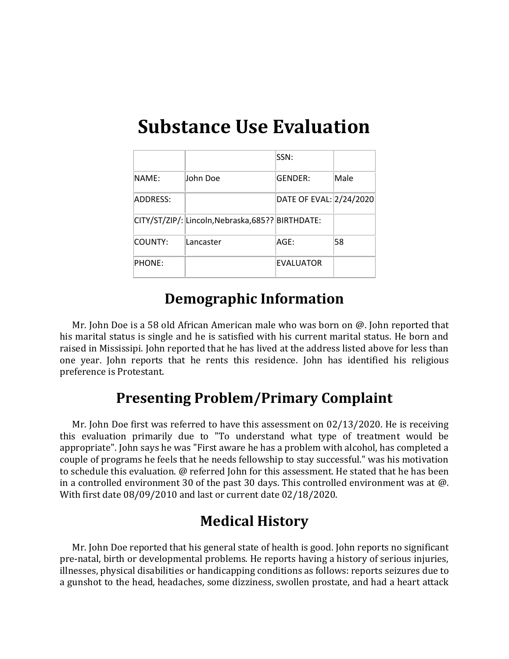# **Substance Use Evaluation**

|               |                                                   | SSN:                    |      |
|---------------|---------------------------------------------------|-------------------------|------|
| NAME:         | John Doe                                          | GENDER:                 | Male |
| ADDRESS:      |                                                   | DATE OF EVAL: 2/24/2020 |      |
|               | CITY/ST/ZIP/: Lincoln, Nebraska, 685?? BIRTHDATE: |                         |      |
| ICOUNTY:      | Lancaster                                         | AGE:                    | 58   |
| <b>PHONE:</b> |                                                   | <b>EVALUATOR</b>        |      |

### **Demographic Information**

Mr. John Doe is a 58 old African American male who was born on @. John reported that his marital status is single and he is satisfied with his current marital status. He born and raised in Mississipi. John reported that he has lived at the address listed above for less than one year. John reports that he rents this residence. John has identified his religious preference is Protestant.

### **Presenting Problem/Primary Complaint**

Mr. John Doe first was referred to have this assessment on 02/13/2020. He is receiving this evaluation primarily due to "To understand what type of treatment would be appropriate". John says he was "First aware he has a problem with alcohol, has completed a couple of programs he feels that he needs fellowship to stay successful." was his motivation to schedule this evaluation. @ referred John for this assessment. He stated that he has been in a controlled environment 30 of the past 30 days. This controlled environment was at @. With first date 08/09/2010 and last or current date 02/18/2020.

### **Medical History**

Mr. John Doe reported that his general state of health is good. John reports no significant pre-natal, birth or developmental problems. He reports having a history of serious injuries, illnesses, physical disabilities or handicapping conditions as follows: reports seizures due to a gunshot to the head, headaches, some dizziness, swollen prostate, and had a heart attack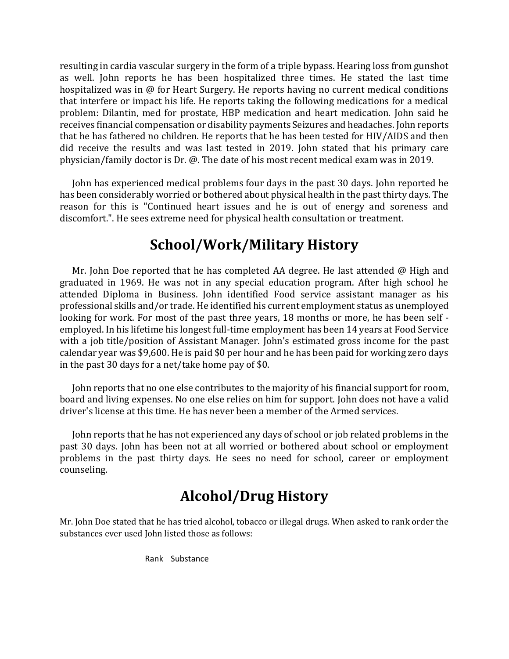resulting in cardia vascular surgery in the form of a triple bypass. Hearing loss from gunshot as well. John reports he has been hospitalized three times. He stated the last time hospitalized was in @ for Heart Surgery. He reports having no current medical conditions that interfere or impact his life. He reports taking the following medications for a medical problem: Dilantin, med for prostate, HBP medication and heart medication. John said he receives financial compensation or disability payments Seizures and headaches. John reports that he has fathered no children. He reports that he has been tested for HIV/AIDS and then did receive the results and was last tested in 2019. John stated that his primary care physician/family doctor is Dr. @. The date of his most recent medical exam was in 2019.

John has experienced medical problems four days in the past 30 days. John reported he has been considerably worried or bothered about physical health in the past thirty days. The reason for this is "Continued heart issues and he is out of energy and soreness and discomfort.". He sees extreme need for physical health consultation or treatment.

### **School/Work/Military History**

Mr. John Doe reported that he has completed AA degree. He last attended  $\omega$  High and graduated in 1969. He was not in any special education program. After high school he attended Diploma in Business. John identified Food service assistant manager as his professional skills and/or trade. He identified his current employment status as unemployed looking for work. For most of the past three years, 18 months or more, he has been self employed. In his lifetime his longest full-time employment has been 14 years at Food Service with a job title/position of Assistant Manager. John's estimated gross income for the past calendar year was \$9,600. He is paid \$0 per hour and he has been paid for working zero days in the past 30 days for a net/take home pay of \$0.

John reports that no one else contributes to the majority of his financial support for room, board and living expenses. No one else relies on him for support. John does not have a valid driver's license at this time. He has never been a member of the Armed services.

John reports that he has not experienced any days of school or job related problems in the past 30 days. John has been not at all worried or bothered about school or employment problems in the past thirty days. He sees no need for school, career or employment counseling.

# **Alcohol/Drug History**

Mr. John Doe stated that he has tried alcohol, tobacco or illegal drugs. When asked to rank order the substances ever used John listed those as follows:

Rank Substance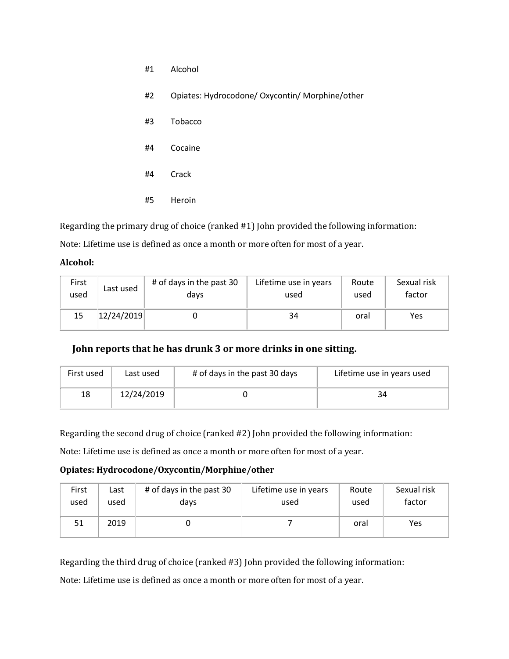- #1 Alcohol
- #2 Opiates: Hydrocodone/ Oxycontin/ Morphine/other
- #3 Tobacco
- #4 Cocaine
- #4 Crack
- #5 Heroin

Regarding the primary drug of choice (ranked #1) John provided the following information:

Note: Lifetime use is defined as once a month or more often for most of a year.

#### **Alcohol:**

| First | Last used  | # of days in the past 30 | Lifetime use in years | Route | Sexual risk |
|-------|------------|--------------------------|-----------------------|-------|-------------|
| used  |            | days                     | used                  | used  | factor      |
| 15    | 12/24/2019 |                          | 34                    | oral  | Yes         |

**John reports that he has drunk 3 or more drinks in one sitting.** 

| First used | # of days in the past 30 days<br>Last used |  | Lifetime use in years used |
|------------|--------------------------------------------|--|----------------------------|
| 18         | 12/24/2019                                 |  | 34                         |

Regarding the second drug of choice (ranked #2) John provided the following information:

Note: Lifetime use is defined as once a month or more often for most of a year.

#### **Opiates: Hydrocodone/Oxycontin/Morphine/other**

| First | Last | # of days in the past 30 | Lifetime use in years | Route | Sexual risk |
|-------|------|--------------------------|-----------------------|-------|-------------|
| used  | used | days                     | used                  | used  | factor      |
| 51    | 2019 |                          |                       | oral  | Yes         |

Regarding the third drug of choice (ranked #3) John provided the following information:

Note: Lifetime use is defined as once a month or more often for most of a year.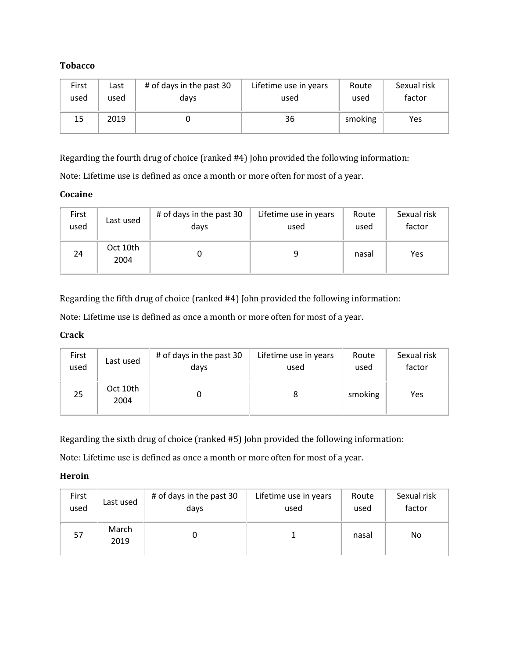#### **Tobacco**

| First | Last | # of days in the past 30 | Lifetime use in years | Route   | Sexual risk |
|-------|------|--------------------------|-----------------------|---------|-------------|
| used  | used | days                     | used                  | used    | factor      |
| 15    | 2019 |                          | 36                    | smoking | Yes         |

Regarding the fourth drug of choice (ranked #4) John provided the following information:

Note: Lifetime use is defined as once a month or more often for most of a year.

#### **Cocaine**

| First | Last used        | # of days in the past 30 | Lifetime use in years | Route | Sexual risk |
|-------|------------------|--------------------------|-----------------------|-------|-------------|
| used  |                  | days                     | used                  | used  | factor      |
| 24    | Oct 10th<br>2004 |                          |                       | nasal | Yes         |

Regarding the fifth drug of choice (ranked #4) John provided the following information:

Note: Lifetime use is defined as once a month or more often for most of a year.

#### **Crack**

| First | Last used        | # of days in the past 30 | Lifetime use in years | Route   | Sexual risk |
|-------|------------------|--------------------------|-----------------------|---------|-------------|
| used  |                  | days                     | used                  | used    | factor      |
| 25    | Oct 10th<br>2004 |                          |                       | smoking | Yes         |

Regarding the sixth drug of choice (ranked #5) John provided the following information:

Note: Lifetime use is defined as once a month or more often for most of a year.

#### **Heroin**

| First | Last used     | # of days in the past 30 | Lifetime use in years | Route | Sexual risk |
|-------|---------------|--------------------------|-----------------------|-------|-------------|
| used  |               | days                     | used                  | used  | factor      |
| 57    | March<br>2019 |                          |                       | nasal | No          |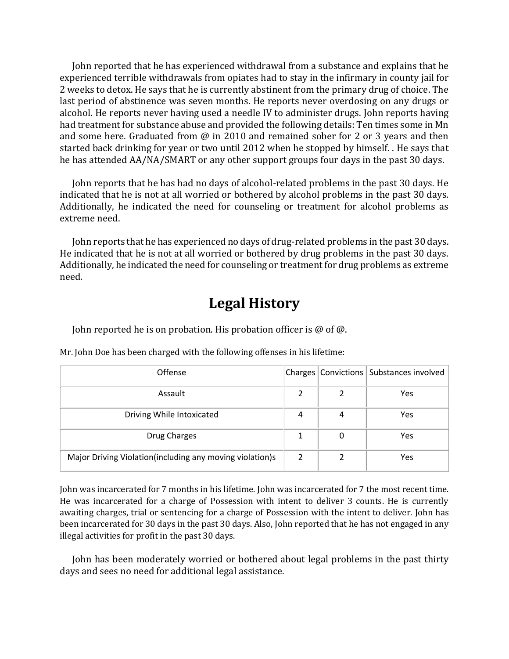John reported that he has experienced withdrawal from a substance and explains that he experienced terrible withdrawals from opiates had to stay in the infirmary in county jail for 2 weeks to detox. He says that he is currently abstinent from the primary drug of choice. The last period of abstinence was seven months. He reports never overdosing on any drugs or alcohol. He reports never having used a needle IV to administer drugs. John reports having had treatment for substance abuse and provided the following details: Ten times some in Mn and some here. Graduated from @ in 2010 and remained sober for 2 or 3 years and then started back drinking for year or two until 2012 when he stopped by himself. . He says that he has attended AA/NA/SMART or any other support groups four days in the past 30 days.

John reports that he has had no days of alcohol-related problems in the past 30 days. He indicated that he is not at all worried or bothered by alcohol problems in the past 30 days. Additionally, he indicated the need for counseling or treatment for alcohol problems as extreme need.

John reports that he has experienced no days of drug-related problems in the past 30 days. He indicated that he is not at all worried or bothered by drug problems in the past 30 days. Additionally, he indicated the need for counseling or treatment for drug problems as extreme need.

### **Legal History**

John reported he is on probation. His probation officer is @ of @.

| Offense                                                  |   |   | Charges   Convictions   Substances involved |
|----------------------------------------------------------|---|---|---------------------------------------------|
| Assault                                                  |   |   | <b>Yes</b>                                  |
| Driving While Intoxicated                                | 4 | 4 | Yes                                         |
| Drug Charges                                             |   | 0 | Yes                                         |
| Major Driving Violation(including any moving violation)s | 2 |   | Yes                                         |

Mr. John Doe has been charged with the following offenses in his lifetime:

John was incarcerated for 7 months in his lifetime. John was incarcerated for 7 the most recent time. He was incarcerated for a charge of Possession with intent to deliver 3 counts. He is currently awaiting charges, trial or sentencing for a charge of Possession with the intent to deliver. John has been incarcerated for 30 days in the past 30 days. Also, John reported that he has not engaged in any illegal activities for profit in the past 30 days.

John has been moderately worried or bothered about legal problems in the past thirty days and sees no need for additional legal assistance.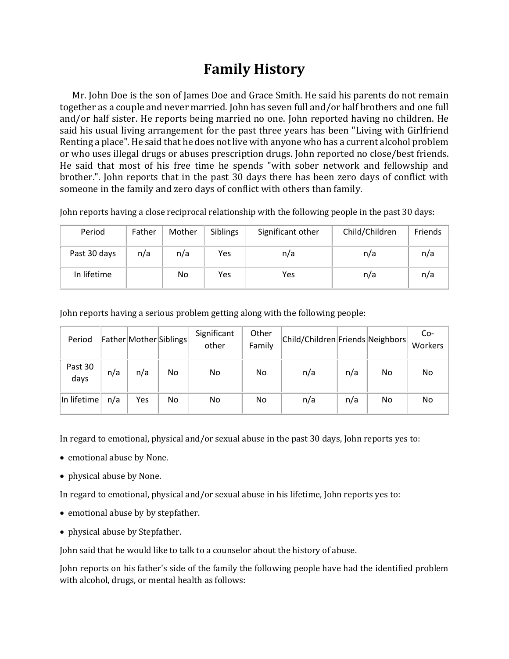### **Family History**

Mr. John Doe is the son of James Doe and Grace Smith. He said his parents do not remain together as a couple and never married. John has seven full and/or half brothers and one full and/or half sister. He reports being married no one. John reported having no children. He said his usual living arrangement for the past three years has been "Living with Girlfriend Renting a place". He said that he does not live with anyone who has a current alcohol problem or who uses illegal drugs or abuses prescription drugs. John reported no close/best friends. He said that most of his free time he spends "with sober network and fellowship and brother.". John reports that in the past 30 days there has been zero days of conflict with someone in the family and zero days of conflict with others than family.

John reports having a close reciprocal relationship with the following people in the past 30 days:

| Period       | Father | Mother | Siblings | Significant other | Child/Children | Friends |
|--------------|--------|--------|----------|-------------------|----------------|---------|
| Past 30 days | n/a    | n/a    | Yes      | n/a               | n/a            | n/a     |
| In lifetime  |        | No     | Yes      | Yes               | n/a            | n/a     |

John reports having a serious problem getting along with the following people:

| Period          |     |     | Father Mother Siblings | Significant<br>other | Other<br>Family | Child/Children Friends Neighbors |     |    | Co-<br>Workers |
|-----------------|-----|-----|------------------------|----------------------|-----------------|----------------------------------|-----|----|----------------|
| Past 30<br>days | n/a | n/a | No                     | No.                  | No              | n/a                              | n/a | No | No             |
| In lifetime     | n/a | Yes | No                     | No.                  | No              | n/a                              | n/a | No | No             |

In regard to emotional, physical and/or sexual abuse in the past 30 days, John reports yes to:

- emotional abuse by None.
- physical abuse by None.

In regard to emotional, physical and/or sexual abuse in his lifetime, John reports yes to:

- emotional abuse by by stepfather.
- physical abuse by Stepfather.

John said that he would like to talk to a counselor about the history of abuse.

John reports on his father's side of the family the following people have had the identified problem with alcohol, drugs, or mental health as follows: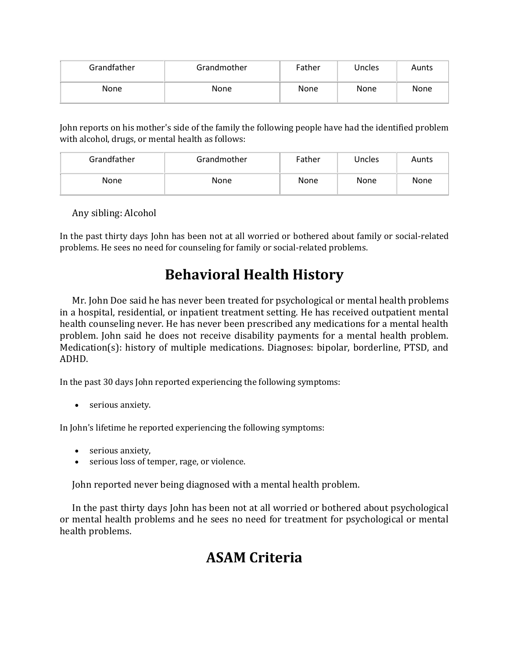| Grandfather | Grandmother | Father      | Uncles | Aunts       |
|-------------|-------------|-------------|--------|-------------|
| <b>None</b> | <b>None</b> | <b>None</b> | None   | <b>None</b> |

John reports on his mother's side of the family the following people have had the identified problem with alcohol, drugs, or mental health as follows:

| Grandfather | Grandmother | Father      | Uncles | Aunts       |
|-------------|-------------|-------------|--------|-------------|
| <b>None</b> | None        | <b>None</b> | None   | <b>None</b> |

Any sibling: Alcohol

In the past thirty days John has been not at all worried or bothered about family or social-related problems. He sees no need for counseling for family or social-related problems.

# **Behavioral Health History**

Mr. John Doe said he has never been treated for psychological or mental health problems in a hospital, residential, or inpatient treatment setting. He has received outpatient mental health counseling never. He has never been prescribed any medications for a mental health problem. John said he does not receive disability payments for a mental health problem. Medication(s): history of multiple medications. Diagnoses: bipolar, borderline, PTSD, and ADHD.

In the past 30 days John reported experiencing the following symptoms:

• serious anxiety.

In John's lifetime he reported experiencing the following symptoms:

- serious anxiety,
- serious loss of temper, rage, or violence.

John reported never being diagnosed with a mental health problem.

In the past thirty days John has been not at all worried or bothered about psychological or mental health problems and he sees no need for treatment for psychological or mental health problems.

## **ASAM Criteria**